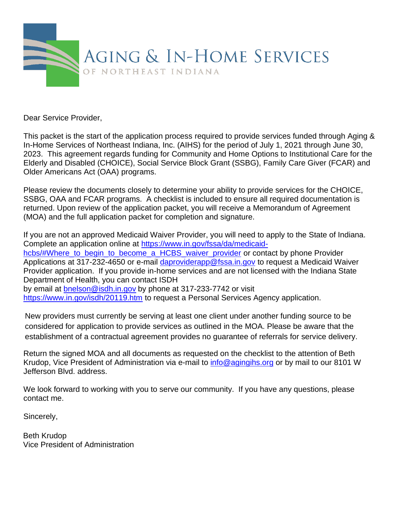

Dear Service Provider,

This packet is the start of the application process required to provide services funded through Aging & In-Home Services of Northeast Indiana, Inc. (AIHS) for the period of July 1, 2021 through June 30, 2023. This agreement regards funding for Community and Home Options to Institutional Care for the Elderly and Disabled (CHOICE), Social Service Block Grant (SSBG), Family Care Giver (FCAR) and Older Americans Act (OAA) programs.

Please review the documents closely to determine your ability to provide services for the CHOICE, SSBG, OAA and FCAR programs. A checklist is included to ensure all required documentation is returned. Upon review of the application packet, you will receive a Memorandum of Agreement (MOA) and the full application packet for completion and signature.

If you are not an approved Medicaid Waiver Provider, you will need to apply to the State of Indiana. Complete an application online at [https://www.in.gov/fssa/da/medicaid](https://www.in.gov/fssa/da/medicaid-hcbs/#Where_to_begin_to_become_a_HCBS_waiver_provider)hcbs/#Where to begin to become a HCBS waiver provider or contact by phone Provider Applications at 317-232-4650 or e-mail [daproviderapp@fssa.in.gov](mailto:daproviderapp@fssa.in.gov) to request a Medicaid Waiver Provider application. If you provide in-home services and are not licensed with the Indiana State Department of Health, you can contact ISDH by email at [bnelson@isdh.in.gov](mailto:bnelson@isdh.in.gov) by phone at 317-233-7742 or visit

<https://www.in.gov/isdh/20119.htm> to request a Personal Services Agency application.

New providers must currently be serving at least one client under another funding source to be considered for application to provide services as outlined in the MOA. Please be aware that the establishment of a contractual agreement provides no guarantee of referrals for service delivery.

Return the signed MOA and all documents as requested on the checklist to the attention of Beth Krudop, Vice President of Administration via e-mail to [info@agingihs.org](mailto:info@agingihs.org) or by mail to our 8101 W Jefferson Blvd. address.

We look forward to working with you to serve our community. If you have any questions, please contact me.

Sincerely,

Beth Krudop Vice President of Administration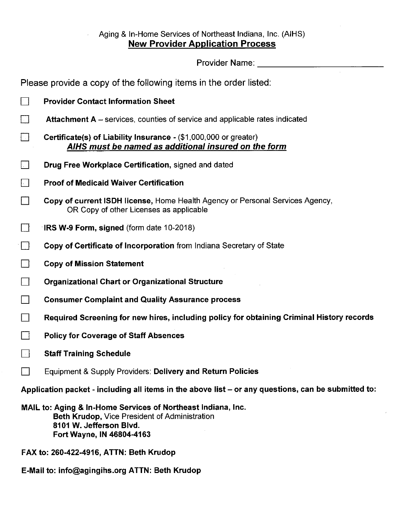# Aging & In-Home Services of Northeast Indiana, Inc. (AIHS) **New Provider Application Process**

Provider Name: \_\_\_\_\_\_\_\_\_\_\_\_\_\_\_\_\_

J.

Please provide a copy of the following items in the order listed:

| $\vert \ \ \vert$                       | <b>Provider Contact Information Sheet</b>                                                                                                                                    |  |  |  |
|-----------------------------------------|------------------------------------------------------------------------------------------------------------------------------------------------------------------------------|--|--|--|
|                                         | <b>Attachment A</b> – services, counties of service and applicable rates indicated                                                                                           |  |  |  |
|                                         | Certificate(s) of Liability Insurance - (\$1,000,000 or greater)<br>AIHS must be named as additional insured on the form                                                     |  |  |  |
|                                         | Drug Free Workplace Certification, signed and dated                                                                                                                          |  |  |  |
|                                         | <b>Proof of Medicaid Waiver Certification</b>                                                                                                                                |  |  |  |
|                                         | Copy of current ISDH license, Home Health Agency or Personal Services Agency,<br>OR Copy of other Licenses as applicable                                                     |  |  |  |
|                                         | $\lceil$ IRS W-9 Form, signed (form date 10-2018)                                                                                                                            |  |  |  |
| $\mathsf{L}$ 1                          | Copy of Certificate of Incorporation from Indiana Secretary of State                                                                                                         |  |  |  |
|                                         | <b>Copy of Mission Statement</b>                                                                                                                                             |  |  |  |
|                                         | <b>Organizational Chart or Organizational Structure</b>                                                                                                                      |  |  |  |
|                                         | <b>Consumer Complaint and Quality Assurance process</b>                                                                                                                      |  |  |  |
|                                         | Required Screening for new hires, including policy for obtaining Criminal History records                                                                                    |  |  |  |
|                                         | <b>Policy for Coverage of Staff Absences</b>                                                                                                                                 |  |  |  |
|                                         | <b>Staff Training Schedule</b>                                                                                                                                               |  |  |  |
|                                         | Equipment & Supply Providers: Delivery and Return Policies                                                                                                                   |  |  |  |
|                                         | Application packet - including all items in the above list – or any questions, can be submitted to:                                                                          |  |  |  |
|                                         | MAIL to: Aging & In-Home Services of Northeast Indiana, Inc.<br><b>Beth Krudop, Vice President of Administration</b><br>8101 W. Jefferson Blvd.<br>Fort Wayne, IN 46804-4163 |  |  |  |
| FAX to: 260-422-4916, ATTN: Beth Krudop |                                                                                                                                                                              |  |  |  |

E-Mail to: info@agingihs.org ATTN: Beth Krudop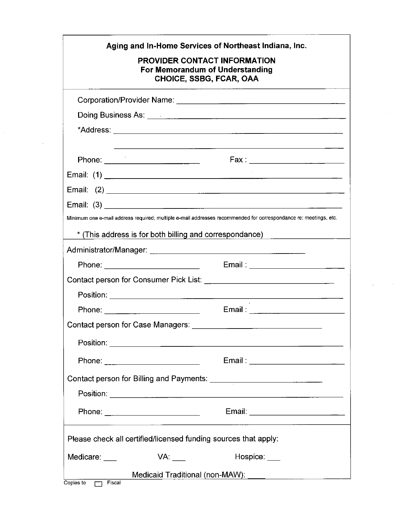|               |                                  | Aging and In-Home Services of Northeast Indiana, Inc.<br><b>PROVIDER CONTACT INFORMATION</b><br>For Memorandum of Understanding<br><b>CHOICE, SSBG, FCAR, OAA</b>                                                                    |
|---------------|----------------------------------|--------------------------------------------------------------------------------------------------------------------------------------------------------------------------------------------------------------------------------------|
|               |                                  |                                                                                                                                                                                                                                      |
|               |                                  |                                                                                                                                                                                                                                      |
|               |                                  |                                                                                                                                                                                                                                      |
|               |                                  | <u> 1989 - Johann Harry Harry Harry Harry Harry Harry Harry Harry Harry Harry Harry Harry Harry Harry Harry Harry Harry Harry Harry Harry Harry Harry Harry Harry Harry Harry Harry Harry Harry Harry Harry Harry Harry Harry Ha</u> |
|               |                                  |                                                                                                                                                                                                                                      |
|               |                                  |                                                                                                                                                                                                                                      |
|               |                                  |                                                                                                                                                                                                                                      |
|               |                                  | Minimum one e-mail address required; multiple e-mail addresses recommended for correspondance re: meetings, etc.                                                                                                                     |
|               |                                  | * (This address is for both billing and correspondance)                                                                                                                                                                              |
|               |                                  |                                                                                                                                                                                                                                      |
|               |                                  |                                                                                                                                                                                                                                      |
|               |                                  |                                                                                                                                                                                                                                      |
|               |                                  |                                                                                                                                                                                                                                      |
|               |                                  |                                                                                                                                                                                                                                      |
|               |                                  |                                                                                                                                                                                                                                      |
|               |                                  |                                                                                                                                                                                                                                      |
|               | Phone: _________________________ | Email: ___________________________                                                                                                                                                                                                   |
|               |                                  |                                                                                                                                                                                                                                      |
|               |                                  |                                                                                                                                                                                                                                      |
|               | Phone: _________________________ | Email: __________________________                                                                                                                                                                                                    |
|               |                                  | Please check all certified/licensed funding sources that apply:                                                                                                                                                                      |
| Medicare: ___ | VA:                              | Hospice: ___                                                                                                                                                                                                                         |
|               |                                  |                                                                                                                                                                                                                                      |

 $\sim$   $\sim$ 

 $\sim 10^7$ 

 $\sigma_{\rm{max}}$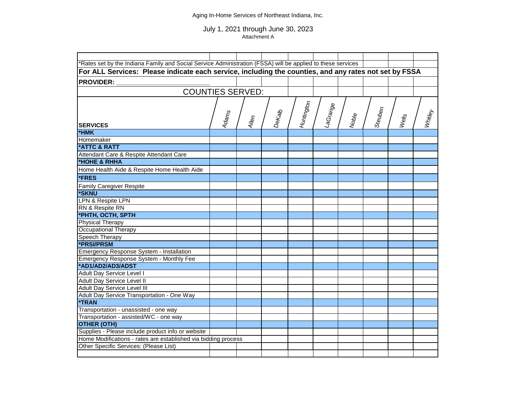### Aging In-Home Services of Northeast Indiana, Inc.

### July 1, 2021 through June 30, 2023 Attachment A

| *Rates set by the Indiana Family and Social Service Administration (FSSA) will be applied to these services         |                   |       |        |            |                        |                   |         |       |                |
|---------------------------------------------------------------------------------------------------------------------|-------------------|-------|--------|------------|------------------------|-------------------|---------|-------|----------------|
| For ALL Services: Please indicate each service, including the counties, and any rates not set by FSSA               |                   |       |        |            |                        |                   |         |       |                |
| <b>PROVIDER:</b>                                                                                                    |                   |       |        |            |                        |                   |         |       |                |
|                                                                                                                     |                   |       |        |            |                        |                   |         |       |                |
| <b>COUNTIES SERVED:</b>                                                                                             |                   |       |        |            |                        |                   |         |       |                |
|                                                                                                                     |                   |       |        |            |                        |                   |         |       |                |
|                                                                                                                     |                   |       |        |            |                        |                   |         |       |                |
|                                                                                                                     |                   |       |        |            |                        |                   |         |       |                |
| <b>SERVICES</b>                                                                                                     | Adam <sub>s</sub> | Allem | Dekalb | Huntington | l <sup>LaGrang</sup> e | Nob <sub>le</sub> | Steuben | Wells | <b>Whitley</b> |
| *HMK                                                                                                                |                   |       |        |            |                        |                   |         |       |                |
| Homemaker                                                                                                           |                   |       |        |            |                        |                   |         |       |                |
| *ATTC & RATT                                                                                                        |                   |       |        |            |                        |                   |         |       |                |
| Attendant Care & Respite Attendant Care                                                                             |                   |       |        |            |                        |                   |         |       |                |
| *HOHE & RHHA                                                                                                        |                   |       |        |            |                        |                   |         |       |                |
| Home Health Aide & Respite Home Health Aide                                                                         |                   |       |        |            |                        |                   |         |       |                |
| *FRES                                                                                                               |                   |       |        |            |                        |                   |         |       |                |
| <b>Family Caregiver Respite</b>                                                                                     |                   |       |        |            |                        |                   |         |       |                |
| *SKNU                                                                                                               |                   |       |        |            |                        |                   |         |       |                |
| <b>LPN &amp; Respite LPN</b>                                                                                        |                   |       |        |            |                        |                   |         |       |                |
| RN & Respite RN                                                                                                     |                   |       |        |            |                        |                   |         |       |                |
| *PHTH, OCTH, SPTH                                                                                                   |                   |       |        |            |                        |                   |         |       |                |
| Physical Therapy                                                                                                    |                   |       |        |            |                        |                   |         |       |                |
| <b>Occupational Therapy</b>                                                                                         |                   |       |        |            |                        |                   |         |       |                |
| Speech Therapy                                                                                                      |                   |       |        |            |                        |                   |         |       |                |
| *PRSI/PRSM                                                                                                          |                   |       |        |            |                        |                   |         |       |                |
| Emergency Response System - Installation                                                                            |                   |       |        |            |                        |                   |         |       |                |
| Emergency Response System - Monthly Fee                                                                             |                   |       |        |            |                        |                   |         |       |                |
| *AD1/AD2/AD3/ADST                                                                                                   |                   |       |        |            |                        |                   |         |       |                |
| Adult Day Service Level I                                                                                           |                   |       |        |            |                        |                   |         |       |                |
| Adult Day Service Level II                                                                                          |                   |       |        |            |                        |                   |         |       |                |
| <b>Adult Day Service Level III</b>                                                                                  |                   |       |        |            |                        |                   |         |       |                |
| Adult Day Service Transportation - One Way                                                                          |                   |       |        |            |                        |                   |         |       |                |
| <b>*TRAN</b>                                                                                                        |                   |       |        |            |                        |                   |         |       |                |
| Transportation - unassisted - one way                                                                               |                   |       |        |            |                        |                   |         |       |                |
| Transportation - assisted/WC - one way                                                                              |                   |       |        |            |                        |                   |         |       |                |
| <b>OTHER (OTH)</b>                                                                                                  |                   |       |        |            |                        |                   |         |       |                |
| Supplies - Please include product info or website<br>Home Modifications - rates are established via bidding process |                   |       |        |            |                        |                   |         |       |                |
| Other Specific Services: (Please List)                                                                              |                   |       |        |            |                        |                   |         |       |                |
|                                                                                                                     |                   |       |        |            |                        |                   |         |       |                |
|                                                                                                                     |                   |       |        |            |                        |                   |         |       |                |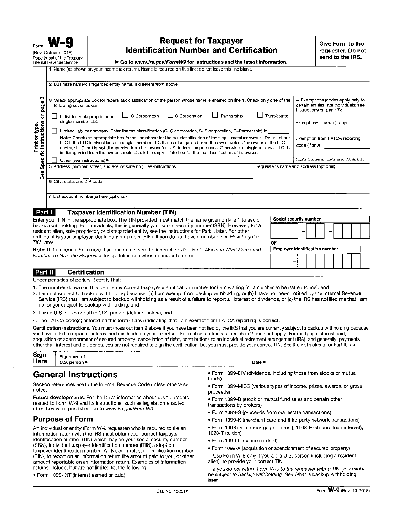# **Request for Taxpayer Identification Number and Certification**

Go to www.irs.gov/FormW9 for instructions and the latest information.

1 Name (as shown on your income tax return). Name is required on this line; do not leave this line blank.

|                                                                                     | 2 Business name/disregarded entity name, if different from above                                                                                                                                                                                                                                                                                                                                                                                                                                                                                                                                                                                                                                                                                                                                                                                                                                 |              |                                                                                                                                                                                                                                               |
|-------------------------------------------------------------------------------------|--------------------------------------------------------------------------------------------------------------------------------------------------------------------------------------------------------------------------------------------------------------------------------------------------------------------------------------------------------------------------------------------------------------------------------------------------------------------------------------------------------------------------------------------------------------------------------------------------------------------------------------------------------------------------------------------------------------------------------------------------------------------------------------------------------------------------------------------------------------------------------------------------|--------------|-----------------------------------------------------------------------------------------------------------------------------------------------------------------------------------------------------------------------------------------------|
| ∞<br>page<br>$\epsilon$<br>Print or type.<br>Instructions<br>)<br>Erint<br>Specific | Check appropriate box for federal tax classification of the person whose name is entered on line 1. Check only one of the<br>з<br>following seven boxes.<br>S Corporation<br>C Corporation<br>Partnership<br>Individual/sole proprietor or<br>single-member LLC<br>Limited liability company. Enter the tax classification (C=C corporation, S=S corporation, P=Partnership)<br>Note: Check the appropriate box in the line above for the tax classification of the single-member owner. Do not check<br>LLC if the LLC is classified as a single-member LLC that is disregarded from the owner unless the owner of the LLC is<br>another LLC that is not disregarded from the owner for U.S. federal tax purposes. Otherwise, a single-member LLC that<br>is disregarded from the owner should check the appropriate box for the tax classification of its owner.<br>Other (see instructions) ▶ | Trust/estate | 4 Exemptions (codes apply only to<br>certain entities, not individuals; see<br>instructions on page 3):<br>Exempt payee code (if any)<br>Exemption from FATCA reporting<br>code (if any)<br>(Applies to accounts maintained outside the U.S.) |
| 6e                                                                                  | 5 Address (number, street, and apt. or suite no.) See instructions.                                                                                                                                                                                                                                                                                                                                                                                                                                                                                                                                                                                                                                                                                                                                                                                                                              |              | Requester's name and address (optional)                                                                                                                                                                                                       |
|                                                                                     | 6 City, state, and ZIP code                                                                                                                                                                                                                                                                                                                                                                                                                                                                                                                                                                                                                                                                                                                                                                                                                                                                      |              |                                                                                                                                                                                                                                               |
|                                                                                     | 7 List account number(s) here (optional)                                                                                                                                                                                                                                                                                                                                                                                                                                                                                                                                                                                                                                                                                                                                                                                                                                                         |              |                                                                                                                                                                                                                                               |
| Part I                                                                              | <b>Taxpayer Identification Number (TIN)</b>                                                                                                                                                                                                                                                                                                                                                                                                                                                                                                                                                                                                                                                                                                                                                                                                                                                      |              |                                                                                                                                                                                                                                               |

| Enter your TIN in the appropriate box. The TIN provided must match the name given on line 1 to avoid      | Social security number                |
|-----------------------------------------------------------------------------------------------------------|---------------------------------------|
| backup withholding. For individuals, this is generally your social security number (SSN). However, for a  |                                       |
| resident alien, sole proprietor, or disregarded entity, see the instructions for Part I, later. For other |                                       |
| entities, it is your employer identification number (EIN). If you do not have a number, see How to get a  |                                       |
| TIN later                                                                                                 |                                       |
| Note: If the account is in more than one name, see the instructions for line 1. Also see What Name and    | <b>Employer identification number</b> |
| Number To Give the Requester for quidelines on whose number to enter.                                     |                                       |

#### **Certification** Part II

Under penalties of perjury, I certify that:

- 1. The number shown on this form is my correct taxpayer identification number (or I am waiting for a number to be issued to me); and
- 2. I am not subject to backup withholding because: (a) I am exempt from backup withholding, or (b) I have not been notified by the Internal Revenue Service (IRS) that I am subject to backup withholding as a result of a failure to report all interest or dividends, or (c) the IRS has notified me that I am no longer subject to backup withholding; and
- 3. I am a U.S. citizen or other U.S. person (defined below); and
- 4. The FATCA code(s) entered on this form (if any) indicating that I am exempt from FATCA reporting is correct.

Certification instructions. You must cross out item 2 above if you have been notified by the IRS that you are currently subject to backup withholding because you have failed to report all interest and dividends on your tax return. For real estate transactions, item 2 does not apply. For mortgage interest paid, acquisition or abandonment of secured property, cancellation of debt, contributions to an individual retirement arrangement (IRA), and generally, payments other than interest and dividends, you are not required to sign the certification, but you must provide your correct TIN. See the instructions for Part II, later.

| Sign | Signature of  |
|------|---------------|
| Here | U.S. person I |

# **General Instructions**

Section references are to the Internal Revenue Code unless otherwise noted.

Future developments. For the latest information about developments related to Form W-9 and its instructions, such as legislation enacted after they were published, go to www.irs.gov/FormW9.

## **Purpose of Form**

An individual or entity (Form W-9 requester) who is required to file an information return with the IRS must obtain your correct taxpayer identification number (TIN) which may be your social security number (SSN), individual taxpayer identification number (ITIN), adoption taxpayer identification number (ATIN), or employer identification number (EIN), to report on an information return the amount paid to you, or other amount reportable on an information return. Examples of information returns include, but are not limited to, the following.

. Form 1099-INT (interest earned or paid)

- · Form 1099-DIV (dividends, including those from stocks or mutual funds)
- · Form 1099-MISC (various types of income, prizes, awards, or gross proceeds)
- . Form 1099-B (stock or mutual fund sales and certain other transactions by brokers)
- · Form 1099-S (proceeds from real estate transactions)

Date **F** 

- . Form 1099-K (merchant card and third party network transactions)
- · Form 1098 (home mortgage interest), 1098-E (student loan interest), 1098-T (tuition)
- · Form 1099-C (canceled debt)
- · Form 1099-A (acquisition or abandonment of secured property)
- Use Form W-9 only if you are a U.S. person (including a resident alien), to provide your correct TIN.

If you do not return Form W-9 to the requester with a TIN, you might be subject to backup withholding. See What is backup withholding, later.